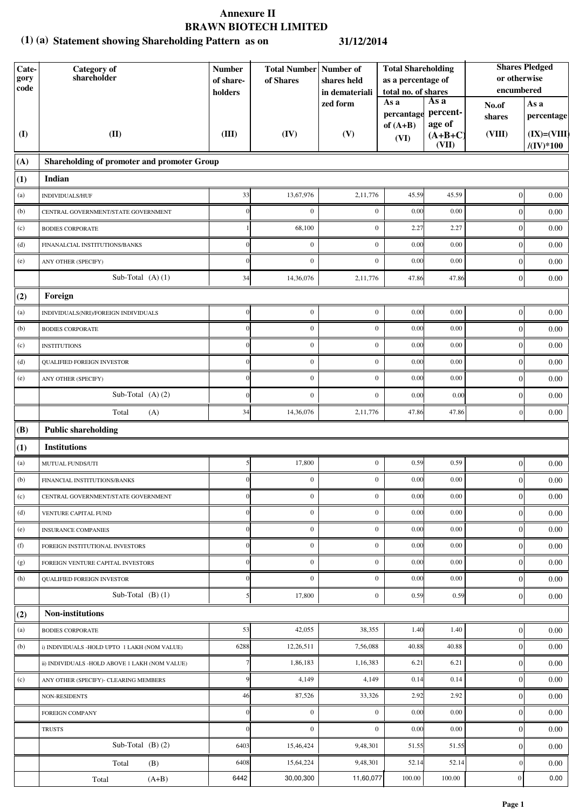### **Statement showing Shareholding Pattern as on (1) (a) 31/12/2014**

| Cate-<br>gory<br>code | <b>Category</b> of<br>shareholder              | <b>Number</b><br>of share-<br>holders | <b>Total Number   Number of</b><br>of Shares | shares held<br>in demateriali | <b>Total Shareholding</b><br>as a percentage of<br>total no. of shares |                              | or otherwise<br>encumbered | <b>Shares Pledged</b>                  |
|-----------------------|------------------------------------------------|---------------------------------------|----------------------------------------------|-------------------------------|------------------------------------------------------------------------|------------------------------|----------------------------|----------------------------------------|
|                       |                                                |                                       |                                              | zed form                      | As a<br>percantage                                                     | As a<br>percent-             | No.of<br>shares            | As a<br>percentage                     |
| $\mathbf{I}$          | (II)                                           | (III)                                 | (IV)                                         | (V)                           | of $(A+B)$<br>(VI)                                                     | age of<br>$(A+B+C)$<br>(VII) | (VIII)                     | $(IX)=(VIII)$<br>$/(\mathrm{IV})^*100$ |
| (A)                   | Shareholding of promoter and promoter Group    |                                       |                                              |                               |                                                                        |                              |                            |                                        |
| (1)                   | Indian                                         |                                       |                                              |                               |                                                                        |                              |                            |                                        |
| (a)                   | INDIVIDUALS/HUF                                | 33                                    | 13,67,976                                    | 2,11,776                      | 45.59                                                                  | 45.59                        | $\boldsymbol{0}$           | 0.00                                   |
| (b)                   | CENTRAL GOVERNMENT/STATE GOVERNMENT            |                                       | $\boldsymbol{0}$                             | $\boldsymbol{0}$              | 0.00                                                                   | 0.00                         | $\boldsymbol{0}$           | 0.00                                   |
| (c)                   | <b>BODIES CORPORATE</b>                        |                                       | 68,100                                       | $\boldsymbol{0}$              | 2.27                                                                   | 2.27                         | $\boldsymbol{0}$           | 0.00                                   |
| (d)                   | FINANALCIAL INSTITUTIONS/BANKS                 |                                       | $\mathbf{0}$                                 | $\mathbf{0}$                  | 0.00                                                                   | 0.00                         | $\boldsymbol{0}$           | 0.00                                   |
| (e)                   | ANY OTHER (SPECIFY)                            | $\sqrt{ }$                            | $\mathbf{0}$                                 | $\mathbf{0}$                  | 0.00                                                                   | 0.00                         | $\boldsymbol{0}$           | 0.00                                   |
|                       | Sub-Total $(A)$ $(1)$                          | 34                                    | 14,36,076                                    | 2,11,776                      | 47.86                                                                  | 47.86                        | $\boldsymbol{0}$           | 0.00                                   |
| (2)                   | Foreign                                        |                                       |                                              |                               |                                                                        |                              |                            |                                        |
| (a)                   | INDIVIDUALS(NRI)/FOREIGN INDIVIDUALS           | $\overline{0}$                        | $\boldsymbol{0}$                             | $\boldsymbol{0}$              | 0.00                                                                   | 0.00                         | $\boldsymbol{0}$           | 0.00                                   |
| (b)                   | <b>BODIES CORPORATE</b>                        |                                       | $\boldsymbol{0}$                             | $\mathbf{0}$                  | 0.00                                                                   | 0.00                         | $\boldsymbol{0}$           | 0.00                                   |
| (c)                   | <b>INSTITUTIONS</b>                            |                                       | $\mathbf{0}$                                 | $\mathbf{0}$                  | 0.00                                                                   | 0.00                         | $\boldsymbol{0}$           | 0.00                                   |
| (d)                   | <b>QUALIFIED FOREIGN INVESTOR</b>              |                                       | $\boldsymbol{0}$                             | $\boldsymbol{0}$              | 0.00                                                                   | 0.00                         | $\mathbf{0}$               | 0.00                                   |
| (e)                   | ANY OTHER (SPECIFY)                            |                                       | $\boldsymbol{0}$                             | $\boldsymbol{0}$              | 0.00                                                                   | 0.00                         | $\mathbf{0}$               | 0.00                                   |
|                       | Sub-Total $(A)$ $(2)$                          |                                       | $\boldsymbol{0}$                             | $\mathbf{0}$                  | 0.00                                                                   | 0.00                         | $\boldsymbol{0}$           | 0.00                                   |
|                       | Total<br>(A)                                   | 34                                    | 14,36,076                                    | 2,11,776                      | 47.86                                                                  | 47.86                        | $\boldsymbol{0}$           | 0.00                                   |
| (B)                   | <b>Public shareholding</b>                     |                                       |                                              |                               |                                                                        |                              |                            |                                        |
| (1)                   | <b>Institutions</b>                            |                                       |                                              |                               |                                                                        |                              |                            |                                        |
| (a)                   | MUTUAL FUNDS/UTI                               | 5                                     | 17,800                                       | $\mathbf{0}$                  | 0.59                                                                   | 0.59                         | $\boldsymbol{0}$           | 0.00                                   |
| (b)                   | FINANCIAL INSTITUTIONS/BANKS                   |                                       | $\boldsymbol{0}$                             | $\mathbf{0}$                  | 0.00                                                                   | 0.00                         | $\boldsymbol{0}$           | $0.00\,$                               |
| (c)                   | CENTRAL GOVERNMENT/STATE GOVERNMENT            | 0                                     | $\boldsymbol{0}$                             | $\boldsymbol{0}$              | 0.00                                                                   | 0.00                         | $\boldsymbol{0}$           | 0.00                                   |
| (d)                   | VENTURE CAPITAL FUND                           |                                       | $\boldsymbol{0}$                             | $\mathbf{0}$                  | 0.00                                                                   | 0.00                         | $\boldsymbol{0}$           | 0.00                                   |
| (e)                   | <b>INSURANCE COMPANIES</b>                     |                                       | $\boldsymbol{0}$                             | $\boldsymbol{0}$              | 0.00                                                                   | 0.00                         | $\boldsymbol{0}$           | 0.00                                   |
| (f)                   | FOREIGN INSTITUTIONAL INVESTORS                |                                       | $\boldsymbol{0}$                             | $\boldsymbol{0}$              | 0.00                                                                   | 0.00                         | $\boldsymbol{0}$           | 0.00                                   |
| (g)                   | FOREIGN VENTURE CAPITAL INVESTORS              | $\sqrt{ }$                            | $\boldsymbol{0}$                             | $\mathbf{0}$                  | 0.00                                                                   | 0.00                         | $\boldsymbol{0}$           | 0.00                                   |
| (h)                   | <b>QUALIFIED FOREIGN INVESTOR</b>              | $\sqrt{ }$                            | $\mathbf{0}$                                 | $\mathbf{0}$                  | 0.00                                                                   | 0.00                         | $\boldsymbol{0}$           | 0.00                                   |
|                       | Sub-Total $(B)(1)$                             |                                       | 17,800                                       | $\boldsymbol{0}$              | 0.59                                                                   | 0.59                         | $\boldsymbol{0}$           | 0.00                                   |
| (2)                   | <b>Non-institutions</b>                        |                                       |                                              |                               |                                                                        |                              |                            |                                        |
| (a)                   | <b>BODIES CORPORATE</b>                        | 53                                    | 42,055                                       | 38,355                        | 1.40                                                                   | 1.40                         | $\overline{0}$             | 0.00                                   |
| (b)                   | i) INDIVIDUALS -HOLD UPTO 1 LAKH (NOM VALUE)   | 6288                                  | 12,26,511                                    | 7,56,088                      | 40.88                                                                  | 40.88                        | $\boldsymbol{0}$           | 0.00                                   |
|                       | ii) INDIVIDUALS -HOLD ABOVE 1 LAKH (NOM VALUE) |                                       | 1,86,183                                     | 1,16,383                      | 6.21                                                                   | 6.21                         | $\boldsymbol{0}$           | 0.00                                   |
| (c)                   | ANY OTHER (SPECIFY)- CLEARING MEMBERS          |                                       | 4,149                                        | 4,149                         | 0.14                                                                   | 0.14                         | $\boldsymbol{0}$           | 0.00                                   |
|                       | NON-RESIDENTS                                  | 46                                    | 87,526                                       | 33,326                        | 2.92                                                                   | 2.92                         | $\boldsymbol{0}$           | 0.00                                   |
|                       | FOREIGN COMPANY                                | $\sqrt{ }$                            | $\boldsymbol{0}$                             | $\boldsymbol{0}$              | 0.00                                                                   | 0.00                         | $\boldsymbol{0}$           | 0.00                                   |
|                       | <b>TRUSTS</b>                                  | $\sqrt{ }$                            | $\mathbf{0}$                                 | $\mathbf{0}$                  | 0.00                                                                   | 0.00                         | $\mathbf{0}$               | 0.00                                   |
|                       | Sub-Total $(B)(2)$                             | 6403                                  | 15,46,424                                    | 9,48,301                      | 51.55                                                                  | 51.55                        | $\boldsymbol{0}$           | 0.00                                   |
|                       | Total<br>(B)                                   | 6408                                  | 15,64,224                                    | 9,48,301                      | 52.14                                                                  | 52.14                        | $\boldsymbol{0}$           | 0.00                                   |
|                       | $(A+B)$<br>Total                               | 6442                                  | 30,00,300                                    | 11,60,077                     | 100.00                                                                 | 100.00                       | $\vert 0 \vert$            | 0.00                                   |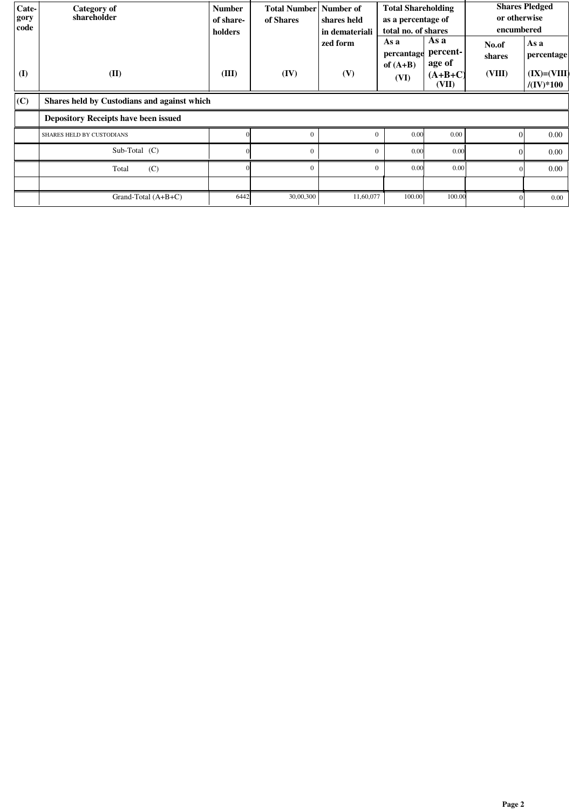| Cate-<br>gory<br>code | Category of<br>shareholder                  | <b>Number</b><br>of share-<br>holders | Total Number Number of<br>of Shares | shares held<br>in demateriali<br>zed form | <b>Total Shareholding</b><br>as a percentage of<br>total no. of shares<br>As a<br>percantage | As a<br>percent-             | or otherwise<br>encumbered<br>No.of<br>shares | <b>Shares Pledged</b><br>As a<br>percentage |  |  |
|-----------------------|---------------------------------------------|---------------------------------------|-------------------------------------|-------------------------------------------|----------------------------------------------------------------------------------------------|------------------------------|-----------------------------------------------|---------------------------------------------|--|--|
| $\bf{(I)}$            | (II)                                        | (III)                                 | (IV)                                | (V)                                       | of $(A+B)$<br>(VI)                                                                           | age of<br>$(A+B+C)$<br>(VII) | (VIII)                                        | $(IX)=(VIII)$<br>$/(\mathrm{IV})^*100$      |  |  |
| $ $ (C)               | Shares held by Custodians and against which |                                       |                                     |                                           |                                                                                              |                              |                                               |                                             |  |  |
|                       | <b>Depository Receipts have been issued</b> |                                       |                                     |                                           |                                                                                              |                              |                                               |                                             |  |  |
|                       | SHARES HELD BY CUSTODIANS                   |                                       | $\theta$                            | $\Omega$                                  | 0.00                                                                                         | 0.00                         | $\Omega$                                      | 0.00                                        |  |  |
|                       | Sub-Total (C)                               |                                       | $\theta$                            | $\Omega$                                  | 0.00                                                                                         | 0.00                         | $\Omega$                                      | 0.00                                        |  |  |
|                       | (C)<br>Total                                |                                       | $\Omega$                            | $\Omega$                                  | 0.00                                                                                         | 0.00                         | $\Omega$                                      | 0.00                                        |  |  |
|                       |                                             |                                       |                                     |                                           |                                                                                              |                              |                                               |                                             |  |  |
|                       | Grand-Total $(A+B+C)$                       | 6442                                  | 30,00,300                           | 11,60,077                                 | 100.00                                                                                       | 100.00                       |                                               | $0.00\,$                                    |  |  |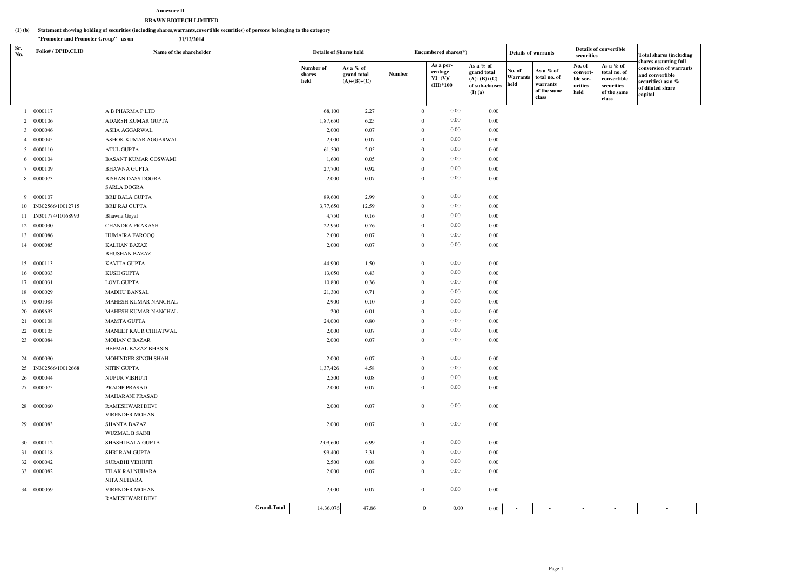#### **Statement showing holding of securities (including shares,warrants,covertible securities) of persons belonging to the category (1) (b)**

#### **Annexure IIBRAWN BIOTECH LIMITED**

|            | "Promoter and Promoter Group" as on<br>31/12/2014 |                                          |                    |                               |                                           |               |                  |                                                  |                                                                          |                                           |                                                               |                                                   |                                                                                |                                                                                                                        |
|------------|---------------------------------------------------|------------------------------------------|--------------------|-------------------------------|-------------------------------------------|---------------|------------------|--------------------------------------------------|--------------------------------------------------------------------------|-------------------------------------------|---------------------------------------------------------------|---------------------------------------------------|--------------------------------------------------------------------------------|------------------------------------------------------------------------------------------------------------------------|
| Sr.<br>No. | Folio#/DPID,CLID                                  | Name of the shareholder                  |                    | <b>Details of Shares held</b> |                                           |               |                  | Encumbered shares(*)                             |                                                                          | <b>Details of warrants</b>                |                                                               | <b>Details of convertible</b><br>securities       |                                                                                | <b>Total shares (including</b>                                                                                         |
|            |                                                   |                                          |                    | Number of<br>shares<br>held   | As a % of<br>grand total<br>$(A)+(B)+(C)$ | <b>Number</b> |                  | As a per-<br>centage<br>$VI=(V)/$<br>$(III)*100$ | As a % of<br>grand total<br>$(A)+(B)+(C)$<br>of sub-clauses<br>$(I)$ (a) | $\vert$ No. of<br><b>Warrants</b><br>held | As a % of<br>total no. of<br>warrants<br>of the same<br>class | No. of<br>convert-<br>ble sec-<br>urities<br>held | As a % of<br>total no. of<br>convertible<br>securities<br>of the same<br>class | shares assuming full<br>conversion of warrants<br>and convertible<br>securities) as a %<br>of diluted share<br>capital |
|            | 1 0000117                                         | A B PHARMA P LTD                         |                    | 68,100                        | 2.27                                      |               | $\overline{0}$   | $0.00\,$                                         | 0.00                                                                     |                                           |                                                               |                                                   |                                                                                |                                                                                                                        |
|            | 2 0000106                                         | ADARSH KUMAR GUPTA                       |                    | 1,87,650                      | 6.25                                      |               | $\Omega$         | $0.00\,$                                         | 0.00                                                                     |                                           |                                                               |                                                   |                                                                                |                                                                                                                        |
|            | 3 0000046                                         | ASHA AGGARWAL                            |                    | 2,000                         | 0.07                                      |               | $\Omega$         | $0.00\,$                                         | 0.00                                                                     |                                           |                                                               |                                                   |                                                                                |                                                                                                                        |
|            | 4 0000045                                         | ASHOK KUMAR AGGARWAL                     |                    | 2,000                         | 0.07                                      |               | $\Omega$         | $0.00\,$                                         | 0.00                                                                     |                                           |                                                               |                                                   |                                                                                |                                                                                                                        |
|            | 5 0000110                                         | ATUL GUPTA                               |                    | 61,500                        | 2.05                                      |               | $\overline{0}$   | $0.00\,$                                         | 0.00                                                                     |                                           |                                                               |                                                   |                                                                                |                                                                                                                        |
|            | 6 0000104                                         | <b>BASANT KUMAR GOSWAMI</b>              |                    | 1,600                         | 0.05                                      |               | $\Omega$         | $0.00\,$                                         | 0.00                                                                     |                                           |                                                               |                                                   |                                                                                |                                                                                                                        |
|            | 7 0000109                                         | BHAWNA GUPTA                             |                    | 27,700                        | 0.92                                      |               | $\theta$         | $0.00\,$                                         | 0.00                                                                     |                                           |                                                               |                                                   |                                                                                |                                                                                                                        |
|            | 8 0000073                                         | <b>BISHAN DASS DOGRA</b>                 |                    | 2,000                         | 0.07                                      |               | $\overline{0}$   | $0.00\,$                                         | 0.00                                                                     |                                           |                                                               |                                                   |                                                                                |                                                                                                                        |
|            |                                                   | <b>SARLA DOGRA</b>                       |                    |                               |                                           |               |                  |                                                  |                                                                          |                                           |                                                               |                                                   |                                                                                |                                                                                                                        |
|            | 9 0000107                                         | BRIJ BALA GUPTA                          |                    | 89,600                        | 2.99                                      |               | $\overline{0}$   | $0.00\,$                                         | 0.00                                                                     |                                           |                                                               |                                                   |                                                                                |                                                                                                                        |
|            | 10 IN302566/10012715                              | BRIJ RAJ GUPTA                           |                    | 3,77,650                      | 12.59                                     |               | $\overline{0}$   | $0.00\,$                                         | 0.00                                                                     |                                           |                                                               |                                                   |                                                                                |                                                                                                                        |
|            | 11 IN301774/10168993                              | Bhawna Goyal                             |                    | 4,750                         | 0.16                                      |               | $\overline{0}$   | $0.00\,$                                         | 0.00                                                                     |                                           |                                                               |                                                   |                                                                                |                                                                                                                        |
|            | 12 0000030                                        | <b>CHANDRA PRAKASH</b>                   |                    | 22,950                        | 0.76                                      |               | $\Omega$         | $0.00\,$                                         | 0.00                                                                     |                                           |                                                               |                                                   |                                                                                |                                                                                                                        |
|            | 13 0000086                                        | HUMAIRA FAROOQ                           |                    | 2,000                         | 0.07                                      |               | $\overline{0}$   | $0.00\,$                                         | 0.00                                                                     |                                           |                                                               |                                                   |                                                                                |                                                                                                                        |
|            | 14 0000085                                        | <b>KALHAN BAZAZ</b>                      |                    | 2,000                         | 0.07                                      |               | $\overline{0}$   | $0.00\,$                                         | 0.00                                                                     |                                           |                                                               |                                                   |                                                                                |                                                                                                                        |
|            |                                                   | <b>BHUSHAN BAZAZ</b>                     |                    |                               |                                           |               |                  |                                                  |                                                                          |                                           |                                                               |                                                   |                                                                                |                                                                                                                        |
|            | 15 0000113                                        | KAVITA GUPTA                             |                    | 44,900                        | 1.50                                      |               | $\overline{0}$   | $0.00\,$                                         | 0.00                                                                     |                                           |                                                               |                                                   |                                                                                |                                                                                                                        |
|            | 16 0000033                                        | KUSH GUPTA                               |                    | 13,050                        | 0.43                                      |               | $\overline{0}$   | $0.00\,$                                         | 0.00                                                                     |                                           |                                                               |                                                   |                                                                                |                                                                                                                        |
|            | 17 0000031                                        | <b>LOVE GUPTA</b>                        |                    | 10,800                        | 0.36                                      |               | $\Omega$         | $0.00\,$                                         | 0.00                                                                     |                                           |                                                               |                                                   |                                                                                |                                                                                                                        |
|            | 18 0000029                                        | <b>MADHU BANSAL</b>                      |                    | 21,300                        | 0.71                                      |               | $\Omega$         | $0.00\,$                                         | 0.00                                                                     |                                           |                                                               |                                                   |                                                                                |                                                                                                                        |
|            | 19 0001084                                        | MAHESH KUMAR NANCHAL                     |                    | 2,900                         | 0.10                                      |               | $\Omega$         | $0.00\,$                                         | 0.00                                                                     |                                           |                                                               |                                                   |                                                                                |                                                                                                                        |
|            | 20 0009693                                        | MAHESH KUMAR NANCHAL                     |                    | 200                           | 0.01                                      |               | $\Omega$         | $0.00\,$                                         | 0.00                                                                     |                                           |                                                               |                                                   |                                                                                |                                                                                                                        |
|            | 21 0000108                                        | MAMTA GUPTA                              |                    | 24,000                        | 0.80                                      |               | $\theta$         | $0.00\,$                                         | 0.00                                                                     |                                           |                                                               |                                                   |                                                                                |                                                                                                                        |
|            | 22 0000105                                        | MANEET KAUR CHHATWAL                     |                    | 2,000                         | 0.07                                      |               | $\theta$         | $0.00\,$                                         | 0.00                                                                     |                                           |                                                               |                                                   |                                                                                |                                                                                                                        |
|            | 23 0000084                                        | MOHAN C BAZAR<br>HEEMAL BAZAZ BHASIN     |                    | 2,000                         | 0.07                                      |               | $\overline{0}$   | $0.00\,$                                         | $0.00\,$                                                                 |                                           |                                                               |                                                   |                                                                                |                                                                                                                        |
|            | 24 0000090                                        | MOHINDER SINGH SHAH                      |                    | 2,000                         | 0.07                                      |               | $\overline{0}$   | $0.00\,$                                         | $0.00\,$                                                                 |                                           |                                                               |                                                   |                                                                                |                                                                                                                        |
|            | 25 IN302566/10012668                              | NITIN GUPTA                              |                    | 1,37,426                      | 4.58                                      |               | $\overline{0}$   | $0.00\,$                                         | 0.00                                                                     |                                           |                                                               |                                                   |                                                                                |                                                                                                                        |
|            | 26 0000044                                        | NUPUR VIBHUTI                            |                    | 2,500                         | 0.08                                      |               | $\overline{0}$   | $0.00\,$                                         | 0.00                                                                     |                                           |                                                               |                                                   |                                                                                |                                                                                                                        |
|            | 27 0000075                                        | PRADIP PRASAD                            |                    | 2,000                         | 0.07                                      |               | $\overline{0}$   | $0.00\,$                                         | 0.00                                                                     |                                           |                                                               |                                                   |                                                                                |                                                                                                                        |
|            |                                                   | MAHARANI PRASAD                          |                    |                               |                                           |               |                  |                                                  |                                                                          |                                           |                                                               |                                                   |                                                                                |                                                                                                                        |
|            | 28 0000060                                        | RAMESHWARI DEVI<br><b>VIRENDER MOHAN</b> |                    | 2,000                         | 0.07                                      |               | $\overline{0}$   | $0.00\,$                                         | $0.00\,$                                                                 |                                           |                                                               |                                                   |                                                                                |                                                                                                                        |
|            | 29 00000083                                       | SHANTA BAZAZ                             |                    | 2,000                         | 0.07                                      |               | $\overline{0}$   | $0.00\,$                                         | $0.00\,$                                                                 |                                           |                                                               |                                                   |                                                                                |                                                                                                                        |
|            |                                                   | <b>WUZMAL B SAINI</b>                    |                    |                               |                                           |               |                  |                                                  |                                                                          |                                           |                                                               |                                                   |                                                                                |                                                                                                                        |
|            | 30 0000112                                        | SHASHI BALA GUPTA                        |                    | 2,09,600                      | 6.99                                      |               | $\overline{0}$   | $0.00\,$                                         | 0.00                                                                     |                                           |                                                               |                                                   |                                                                                |                                                                                                                        |
|            | 31 0000118                                        | SHRI RAM GUPTA                           |                    | 99,400                        | 3.31                                      |               | $\overline{0}$   | $0.00\,$                                         | 0.00                                                                     |                                           |                                                               |                                                   |                                                                                |                                                                                                                        |
|            | 32 0000042                                        | SURABHI VIBHUTI                          |                    | 2,500                         | 0.08                                      |               | $\overline{0}$   | $0.00\,$                                         | 0.00                                                                     |                                           |                                                               |                                                   |                                                                                |                                                                                                                        |
|            | 33 0000082                                        | TILAK RAJ NIJHARA                        |                    | 2,000                         | 0.07                                      |               | $\boldsymbol{0}$ | $0.00\,$                                         | 0.00                                                                     |                                           |                                                               |                                                   |                                                                                |                                                                                                                        |
|            |                                                   | NITA NIJHARA                             |                    |                               |                                           |               |                  |                                                  |                                                                          |                                           |                                                               |                                                   |                                                                                |                                                                                                                        |
|            | 34 0000059                                        | <b>VIRENDER MOHAN</b>                    |                    | 2,000                         | 0.07                                      |               | $\overline{0}$   | $0.00\,$                                         | 0.00                                                                     |                                           |                                                               |                                                   |                                                                                |                                                                                                                        |
|            |                                                   | RAMESHWARI DEVI                          |                    |                               |                                           |               |                  |                                                  |                                                                          |                                           |                                                               |                                                   |                                                                                |                                                                                                                        |
|            |                                                   |                                          | <b>Grand-Total</b> | 14,36,076                     | 47.86                                     |               | $\overline{0}$   | 0.00                                             | $0.00\,$                                                                 |                                           |                                                               | $\overline{\phantom{a}}$                          |                                                                                |                                                                                                                        |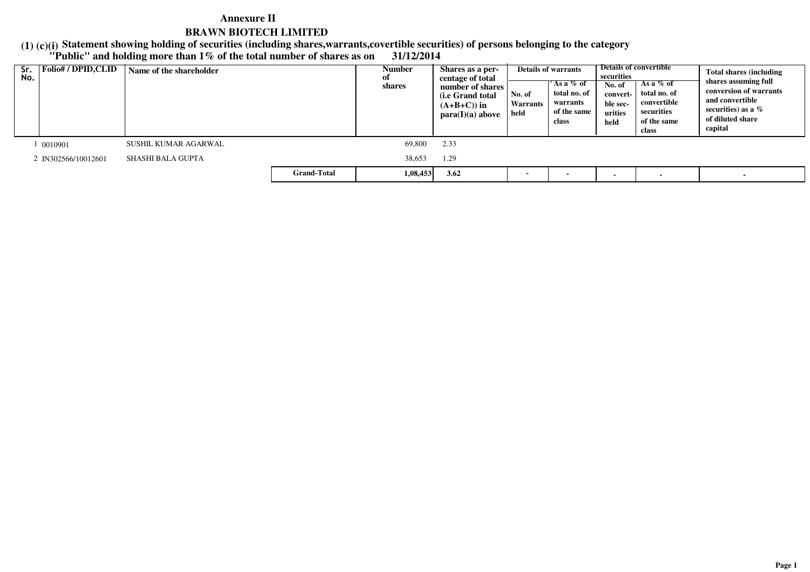**(1) (c)(i) "Public" and holding more than 1% of the total number of shares as on 31/12/2014Statement showing holding of securities (including shares,warrants,covertible securities) of persons belonging to the category**

| Sr.<br>No. | <b>Folio#/DPID,CLID</b> | Name of the shareholder |                    | Number<br>shares | Shares as a per-<br>centage of total<br>number of shares<br>( <i>i.e</i> Grand total<br>$(A+B+C)$ in<br>para(I)(a) above | No. of<br>Warrants<br>held | <b>Details of warrants</b><br>'As a % of<br>total no. of<br>warrants<br>of the same<br>class | securities<br>No. of<br>convert-<br>ble sec-<br>urities<br>held | Details of convertible<br>As a % of<br>total no. of<br>convertible<br>securities<br>of the same<br>class | <b>Total shares (including</b><br>shares assuming full<br>conversion of warrants<br>and convertible<br>securities) as a $\%$<br>of diluted share<br>capital |
|------------|-------------------------|-------------------------|--------------------|------------------|--------------------------------------------------------------------------------------------------------------------------|----------------------------|----------------------------------------------------------------------------------------------|-----------------------------------------------------------------|----------------------------------------------------------------------------------------------------------|-------------------------------------------------------------------------------------------------------------------------------------------------------------|
|            | 0010901                 | SUSHIL KUMAR AGARWAL    |                    | 69,800           | 2.33                                                                                                                     |                            |                                                                                              |                                                                 |                                                                                                          |                                                                                                                                                             |
|            | 2 IN302566/10012601     | SHASHI BALA GUPTA       |                    | 38,653           | 1.29                                                                                                                     |                            |                                                                                              |                                                                 |                                                                                                          |                                                                                                                                                             |
|            |                         |                         | <b>Grand-Total</b> | 1,08,453         | 3.62                                                                                                                     | $\blacksquare$             |                                                                                              |                                                                 |                                                                                                          |                                                                                                                                                             |

 $\sim$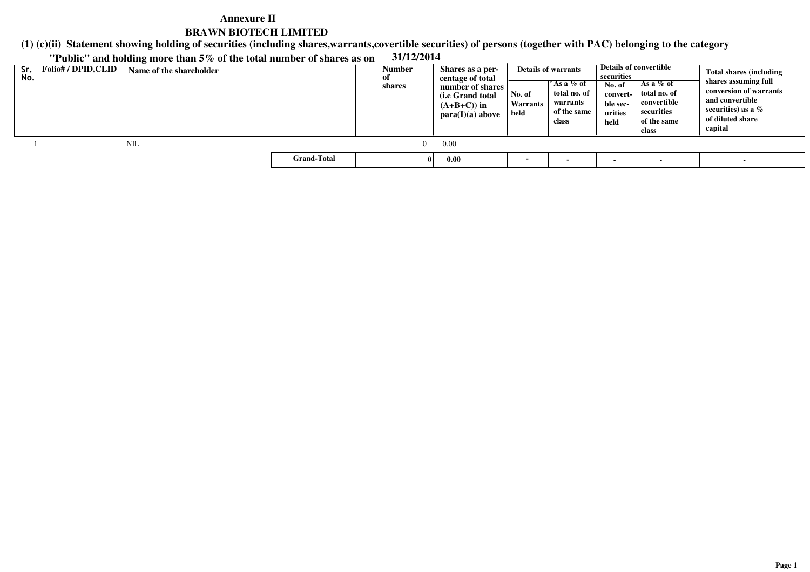**(1) (c)(ii)Statement showing holding of securities (including shares,warrants,covertible securities) of persons (together with PAC) belonging to the category**

**"Public" and holding more than 5% of the total number of shares as on 31/12/2014**

| Sr.<br>No. | Folio# / DPID,CLID | Name of the shareholder |                    | Number<br>Оľ<br>shares | Shares as a per-<br>centage of total<br>number of shares<br>(i.e Grand total<br>$(A+B+C)$ in<br>para(I)(a) above | No. of<br>Warrants<br>held | <b>Details of warrants</b><br>´As a % of<br>total no. of<br>warrants<br>of the same<br>class | securities<br>No. of<br>convert- l<br>ble sec-<br>urities<br>held | Details of convertible<br>As a $%$ of<br>total no. of<br>convertible<br>securities<br>of the same<br>class | <b>Total shares (including</b><br>shares assuming full<br>conversion of warrants<br>and convertible<br>securities) as a $\%$<br>of diluted share<br>capital |
|------------|--------------------|-------------------------|--------------------|------------------------|------------------------------------------------------------------------------------------------------------------|----------------------------|----------------------------------------------------------------------------------------------|-------------------------------------------------------------------|------------------------------------------------------------------------------------------------------------|-------------------------------------------------------------------------------------------------------------------------------------------------------------|
|            |                    | NIL                     |                    | $\Omega$               | 0.00                                                                                                             |                            |                                                                                              |                                                                   |                                                                                                            |                                                                                                                                                             |
|            |                    |                         | <b>Grand-Total</b> |                        | 0.00                                                                                                             | $\overline{\phantom{0}}$   |                                                                                              |                                                                   |                                                                                                            |                                                                                                                                                             |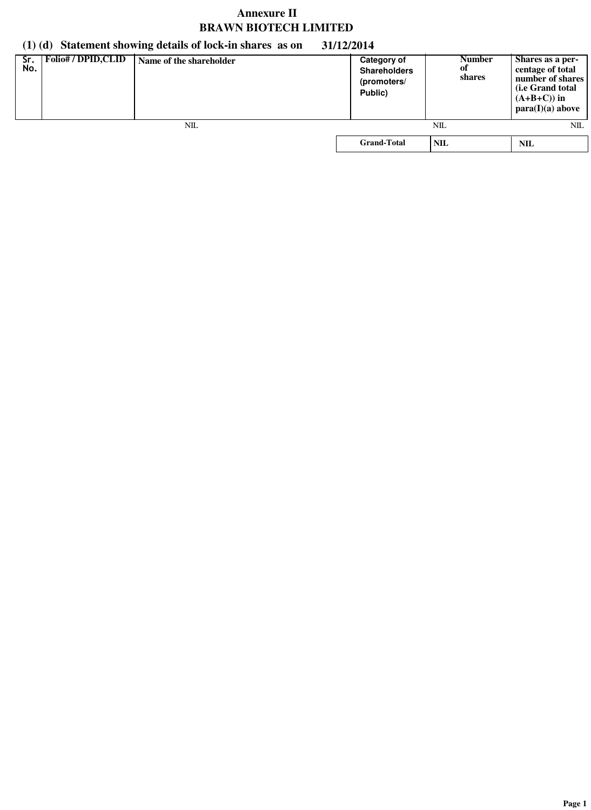# **(1) (d) Statement showing details of lock-in shares as on 31/12/2014**

| Sr.<br>No. | <b>Folio# / DPID, CLID</b> | Name of the shareholder | Category of<br><b>Shareholders</b><br>(promoters/<br>Public) | <b>Number</b><br>оf<br>shares | Shares as a per-<br>centage of total<br>number of shares<br>( <i>i.e</i> Grand total<br>$(A+B+C)$ in<br>para(I)(a) above |
|------------|----------------------------|-------------------------|--------------------------------------------------------------|-------------------------------|--------------------------------------------------------------------------------------------------------------------------|
|            |                            | NIL                     |                                                              | NIL                           | NIL                                                                                                                      |
|            |                            |                         | <b>Grand-Total</b>                                           | <b>NIL</b>                    | NIL                                                                                                                      |